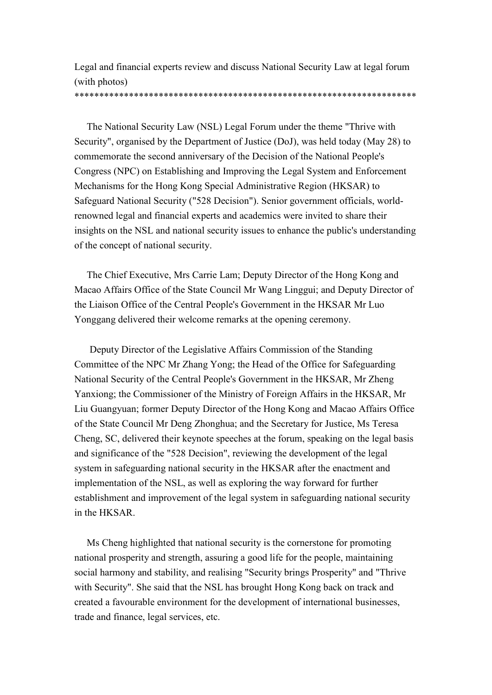Legal and financial experts review and discuss National Security Law at legal forum (with photos)

## \*\*\*\*\*\*\*\*\*\*\*\*\*\*\*\*\*\*\*\*\*\*\*\*\*\*\*\*\*\*\*\*\*\*\*\*\*\*\*\*\*\*\*\*\*\*\*\*\*\*\*\*\*\*\*\*\*\*\*\*\*\*\*\*\*\*\*\*\*

The National Security Law (NSL) Legal Forum under the theme "Thrive with Security", organised by the Department of Justice (DoJ), was held today (May 28) to commemorate the second anniversary of the Decision of the National People's Congress (NPC) on Establishing and Improving the Legal System and Enforcement Mechanisms for the Hong Kong Special Administrative Region (HKSAR) to Safeguard National Security ("528 Decision"). Senior government officials, worldrenowned legal and financial experts and academics were invited to share their insights on the NSL and national security issues to enhance the public's understanding of the concept of national security.

The Chief Executive, Mrs Carrie Lam; Deputy Director of the Hong Kong and Macao Affairs Office of the State Council Mr Wang Linggui; and Deputy Director of the Liaison Office of the Central People's Government in the HKSAR Mr Luo Yonggang delivered their welcome remarks at the opening ceremony.

Deputy Director of the Legislative Affairs Commission of the Standing Committee of the NPC Mr Zhang Yong; the Head of the Office for Safeguarding National Security of the Central People's Government in the HKSAR, Mr Zheng Yanxiong; the Commissioner of the Ministry of Foreign Affairs in the HKSAR, Mr Liu Guangyuan; former Deputy Director of the Hong Kong and Macao Affairs Office of the State Council Mr Deng Zhonghua; and the Secretary for Justice, Ms Teresa Cheng, SC, delivered their keynote speeches at the forum, speaking on the legal basis and significance of the "528 Decision", reviewing the development of the legal system in safeguarding national security in the HKSAR after the enactment and implementation of the NSL, as well as exploring the way forward for further establishment and improvement of the legal system in safeguarding national security in the HKSAR.

Ms Cheng highlighted that national security is the cornerstone for promoting national prosperity and strength, assuring a good life for the people, maintaining social harmony and stability, and realising "Security brings Prosperity" and "Thrive with Security". She said that the NSL has brought Hong Kong back on track and created a favourable environment for the development of international businesses, trade and finance, legal services, etc.